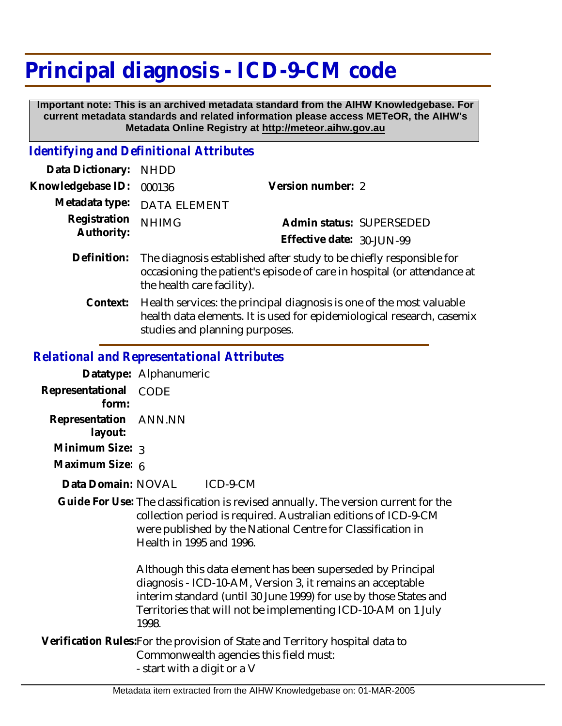## **Principal diagnosis - ICD-9-CM code**

 **Important note: This is an archived metadata standard from the AIHW Knowledgebase. For current metadata standards and related information please access METeOR, the AIHW's Metadata Online Registry at http://meteor.aihw.gov.au**

## *Identifying and Definitional Attributes*

| Data Dictionary: NHDD      |                                                                                                                                                                              |                           |                          |
|----------------------------|------------------------------------------------------------------------------------------------------------------------------------------------------------------------------|---------------------------|--------------------------|
| Knowledgebase ID:          | 000136                                                                                                                                                                       | Version number: 2         |                          |
|                            | Metadata type: DATA ELEMENT                                                                                                                                                  |                           |                          |
| Registration<br>Authority: | <b>NHIMG</b>                                                                                                                                                                 | Effective date: 30-JUN-99 | Admin status: SUPERSEDED |
| Definition:                | The diagnosis established after study to be chiefly responsible for<br>occasioning the patient's episode of care in hospital (or attendance at<br>the health care facility). |                           |                          |

Context: Health services: the principal diagnosis is one of the most valuable health data elements. It is used for epidemiological research, casemix studies and planning purposes.

## *Relational and Representational Attributes*

|                       | Datatype: Alphanumeric |          |
|-----------------------|------------------------|----------|
| Representational      | CODE                   |          |
| form <sup>.</sup>     |                        |          |
| Representation ANN.NN |                        |          |
| layout:               |                        |          |
| Minimum Size: 3       |                        |          |
| Maximum Size: 6       |                        |          |
| Data Domain: NOVAL    |                        | ICD-9-CM |

Guide For Use: The classification is revised annually. The version current for the collection period is required. Australian editions of ICD-9-CM were published by the National Centre for Classification in Health in 1995 and 1996.

> Although this data element has been superseded by Principal diagnosis - ICD-10-AM, Version 3, it remains an acceptable interim standard (until 30 June 1999) for use by those States and Territories that will not be implementing ICD-10-AM on 1 July 1998.

Verification Rules:For the provision of State and Territory hospital data to Commonwealth agencies this field must: - start with a digit or a V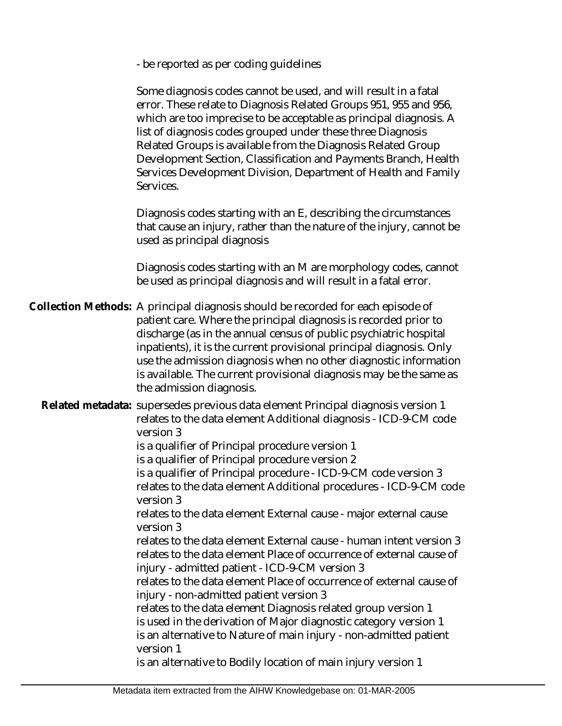- be reported as per coding guidelines

Some diagnosis codes cannot be used, and will result in a fatal error. These relate to Diagnosis Related Groups 951, 955 and 956, which are too imprecise to be acceptable as principal diagnosis. A list of diagnosis codes grouped under these three Diagnosis Related Groups is available from the Diagnosis Related Group Development Section, Classification and Payments Branch, Health Services Development Division, Department of Health and Family Services.

Diagnosis codes starting with an E, describing the circumstances that cause an injury, rather than the nature of the injury, cannot be used as principal diagnosis

Diagnosis codes starting with an M are morphology codes, cannot be used as principal diagnosis and will result in a fatal error.

Collection Methods: A principal diagnosis should be recorded for each episode of patient care. Where the principal diagnosis is recorded prior to discharge (as in the annual census of public psychiatric hospital inpatients), it is the current provisional principal diagnosis. Only use the admission diagnosis when no other diagnostic information is available. The current provisional diagnosis may be the same as the admission diagnosis.

Related metadata: supersedes previous data element Principal diagnosis version 1 relates to the data element Additional diagnosis - ICD-9-CM code version 3

is a qualifier of Principal procedure version 1

is a qualifier of Principal procedure version 2

is a qualifier of Principal procedure - ICD-9-CM code version 3 relates to the data element Additional procedures - ICD-9-CM code version 3

relates to the data element External cause - major external cause version 3

relates to the data element External cause - human intent version 3 relates to the data element Place of occurrence of external cause of injury - admitted patient - ICD-9-CM version 3

relates to the data element Place of occurrence of external cause of injury - non-admitted patient version 3

relates to the data element Diagnosis related group version 1 is used in the derivation of Major diagnostic category version 1 is an alternative to Nature of main injury - non-admitted patient version 1

is an alternative to Bodily location of main injury version 1